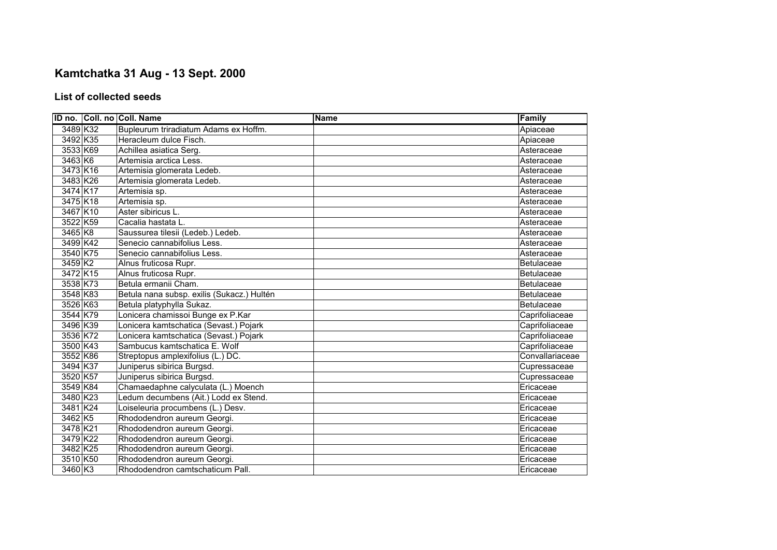## **Kamtchatka 31 Aug - 13 Sept. 2000**

## **List of collected seeds**

|          | ID no. Coll. no Coll. Name                 | <b>Name</b> | Family            |
|----------|--------------------------------------------|-------------|-------------------|
| 3489 K32 | Bupleurum triradiatum Adams ex Hoffm.      |             | Apiaceae          |
| 3492 K35 | Heracleum dulce Fisch.                     |             | Apiaceae          |
| 3533 K69 | Achillea asiatica Serg.                    |             | Asteraceae        |
| 3463 K6  | Artemisia arctica Less.                    |             | Asteraceae        |
| 3473 K16 | Artemisia glomerata Ledeb.                 |             | Asteraceae        |
| 3483 K26 | Artemisia glomerata Ledeb.                 |             | Asteraceae        |
| 3474 K17 | Artemisia sp.                              |             | Asteraceae        |
| 3475 K18 | Artemisia sp.                              |             | Asteraceae        |
| 3467 K10 | Aster sibiricus L.                         |             | Asteraceae        |
| 3522 K59 | Cacalia hastata L.                         |             | Asteraceae        |
| 3465 K8  | Saussurea tilesii (Ledeb.) Ledeb.          |             | Asteraceae        |
| 3499 K42 | Senecio cannabifolius Less.                |             | Asteraceae        |
| 3540 K75 | Senecio cannabifolius Less.                |             | Asteraceae        |
| 3459 K2  | Alnus fruticosa Rupr.                      |             | <b>Betulaceae</b> |
| 3472 K15 | Alnus fruticosa Rupr.                      |             | Betulaceae        |
| 3538 K73 | Betula ermanii Cham.                       |             | <b>Betulaceae</b> |
| 3548 K83 | Betula nana subsp. exilis (Sukacz.) Hultén |             | Betulaceae        |
| 3526 K63 | Betula platyphylla Sukaz.                  |             | Betulaceae        |
| 3544 K79 | Lonicera chamissoi Bunge ex P.Kar          |             | Caprifoliaceae    |
| 3496 K39 | Lonicera kamtschatica (Sevast.) Pojark     |             | Caprifoliaceae    |
| 3536 K72 | Lonicera kamtschatica (Sevast.) Pojark     |             | Caprifoliaceae    |
| 3500 K43 | Sambucus kamtschatica E. Wolf              |             | Caprifoliaceae    |
| 3552 K86 | Streptopus amplexifolius (L.) DC.          |             | Convallariaceae   |
| 3494 K37 | Juniperus sibirica Burgsd.                 |             | Cupressaceae      |
| 3520 K57 | Juniperus sibirica Burgsd.                 |             | Cupressaceae      |
| 3549 K84 | Chamaedaphne calyculata (L.) Moench        |             | Ericaceae         |
| 3480 K23 | Ledum decumbens (Ait.) Lodd ex Stend.      |             | Ericaceae         |
| 3481 K24 | Loiseleuria procumbens (L.) Desv.          |             | Ericaceae         |
| 3462 K5  | Rhododendron aureum Georgi.                |             | Ericaceae         |
| 3478 K21 | Rhododendron aureum Georgi.                |             | Ericaceae         |
| 3479 K22 | Rhododendron aureum Georgi.                |             | Ericaceae         |
| 3482 K25 | Rhododendron aureum Georgi.                |             | Ericaceae         |
| 3510 K50 | Rhododendron aureum Georgi.                |             | Ericaceae         |
| 3460 K3  | Rhododendron camtschaticum Pall.           |             | Ericaceae         |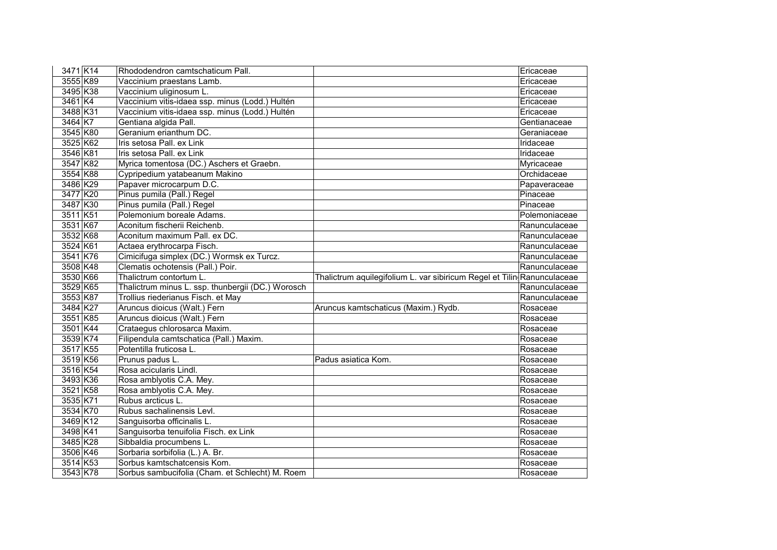| 3471 K14   | Rhododendron camtschaticum Pall.                  |                                                                         | Ericaceae     |
|------------|---------------------------------------------------|-------------------------------------------------------------------------|---------------|
| 3555 K89   | Vaccinium praestans Lamb.                         |                                                                         | Ericaceae     |
| 3495 K38   | Vaccinium uliginosum L.                           |                                                                         | Ericaceae     |
| 3461 K4    | Vaccinium vitis-idaea ssp. minus (Lodd.) Hultén   |                                                                         | Ericaceae     |
| 3488 K31   | Vaccinium vitis-idaea ssp. minus (Lodd.) Hultén   |                                                                         | Ericaceae     |
| 3464 K7    | Gentiana algida Pall.                             |                                                                         | Gentianaceae  |
| 3545 K80   | Geranium erianthum DC.                            |                                                                         | Geraniaceae   |
| 3525 K62   | Iris setosa Pall. ex Link                         |                                                                         | Iridaceae     |
| 3546 K81   | Iris setosa Pall. ex Link                         |                                                                         | Iridaceae     |
| 3547 K82   | Myrica tomentosa (DC.) Aschers et Graebn.         |                                                                         | Myricaceae    |
| 3554 K88   | Cypripedium yatabeanum Makino                     |                                                                         | Orchidaceae   |
| 3486 K29   | Papaver microcarpum D.C.                          |                                                                         | Papaveraceae  |
| 3477 K20   | Pinus pumila (Pall.) Regel                        |                                                                         | Pinaceae      |
| 3487 K30   | Pinus pumila (Pall.) Regel                        |                                                                         | Pinaceae      |
| 3511 K51   | Polemonium boreale Adams.                         |                                                                         | Polemoniaceae |
| 3531 K67   | Aconitum fischerii Reichenb.                      |                                                                         | Ranunculaceae |
| 3532 K68   | Aconitum maximum Pall. ex DC.                     |                                                                         | Ranunculaceae |
| 3524 K61   | Actaea erythrocarpa Fisch.                        |                                                                         | Ranunculaceae |
| 3541 K76   | Cimicifuga simplex (DC.) Wormsk ex Turcz.         |                                                                         | Ranunculaceae |
| 3508 K48   | Clematis ochotensis (Pall.) Poir.                 |                                                                         | Ranunculaceae |
| 3530 K66   | Thalictrum contortum L.                           | Thalictrum aquilegifolium L. var sibiricum Regel et Tilin Ranunculaceae |               |
| 3529 K65   | Thalictrum minus L. ssp. thunbergii (DC.) Worosch |                                                                         | Ranunculaceae |
| 3553 K87   | Trollius riederianus Fisch. et May                |                                                                         | Ranunculaceae |
| 3484 K27   | Aruncus dioicus (Walt.) Fern                      | Aruncus kamtschaticus (Maxim.) Rydb.                                    | Rosaceae      |
| 3551 K85   | Aruncus dioicus (Walt.) Fern                      |                                                                         | Rosaceae      |
| 3501 K44   | Crataegus chlorosarca Maxim.                      |                                                                         | Rosaceae      |
| 3539 K74   | Filipendula camtschatica (Pall.) Maxim.           |                                                                         | Rosaceae      |
| 3517 K55   | Potentilla fruticosa L.                           |                                                                         | Rosaceae      |
| 3519 K56   | Prunus padus L.                                   | Padus asiatica Kom.                                                     | Rosaceae      |
| 3516 K54   | Rosa acicularis Lindl.                            |                                                                         | Rosaceae      |
| 3493 K36   | Rosa amblyotis C.A. Mey.                          |                                                                         | Rosaceae      |
| 3521 K58   | Rosa amblyotis C.A. Mey.                          |                                                                         | Rosaceae      |
| 3535 K71   | Rubus arcticus L.                                 |                                                                         | Rosaceae      |
| 3534 K70   | Rubus sachalinensis Levl.                         |                                                                         | Rosaceae      |
| 3469 K12   | Sanguisorba officinalis L.                        |                                                                         | Rosaceae      |
| 3498 K41   | Sanguisorba tenuifolia Fisch. ex Link             |                                                                         | Rosaceae      |
| 3485 K28   | Sibbaldia procumbens L.                           |                                                                         | Rosaceae      |
| 3506 K46   | Sorbaria sorbifolia (L.) A. Br.                   |                                                                         | Rosaceae      |
| $3514$ K53 | Sorbus kamtschatcensis Kom.                       |                                                                         | Rosaceae      |
| 3543 K78   | Sorbus sambucifolia (Cham. et Schlecht) M. Roem   |                                                                         | Rosaceae      |
|            |                                                   |                                                                         |               |